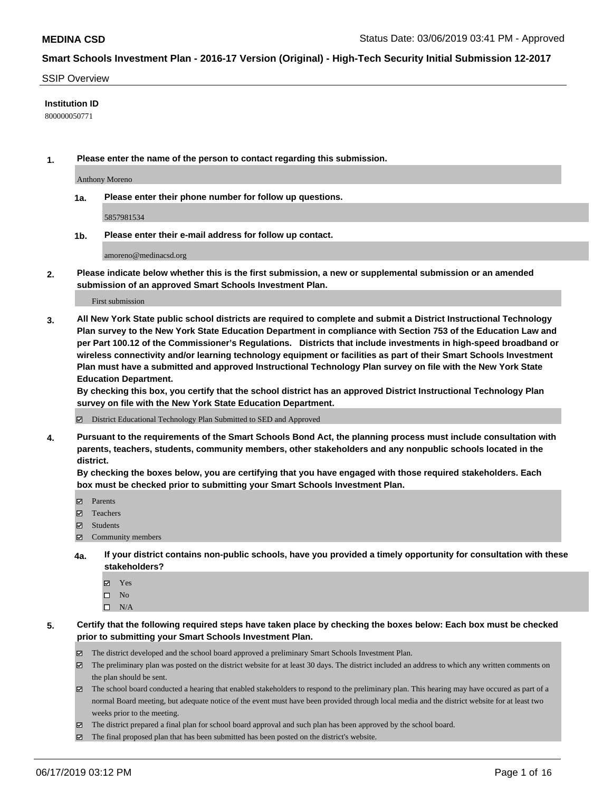#### SSIP Overview

#### **Institution ID**

800000050771

**1. Please enter the name of the person to contact regarding this submission.**

Anthony Moreno

**1a. Please enter their phone number for follow up questions.**

5857981534

**1b. Please enter their e-mail address for follow up contact.**

amoreno@medinacsd.org

**2. Please indicate below whether this is the first submission, a new or supplemental submission or an amended submission of an approved Smart Schools Investment Plan.**

First submission

**3. All New York State public school districts are required to complete and submit a District Instructional Technology Plan survey to the New York State Education Department in compliance with Section 753 of the Education Law and per Part 100.12 of the Commissioner's Regulations. Districts that include investments in high-speed broadband or wireless connectivity and/or learning technology equipment or facilities as part of their Smart Schools Investment Plan must have a submitted and approved Instructional Technology Plan survey on file with the New York State Education Department.** 

**By checking this box, you certify that the school district has an approved District Instructional Technology Plan survey on file with the New York State Education Department.**

District Educational Technology Plan Submitted to SED and Approved

**4. Pursuant to the requirements of the Smart Schools Bond Act, the planning process must include consultation with parents, teachers, students, community members, other stakeholders and any nonpublic schools located in the district.** 

**By checking the boxes below, you are certifying that you have engaged with those required stakeholders. Each box must be checked prior to submitting your Smart Schools Investment Plan.**

- Parents
- Teachers
- Students
- Community members
- **4a. If your district contains non-public schools, have you provided a timely opportunity for consultation with these stakeholders?**
	- Yes
	- $\square$  No
	- $\square$  N/A
- **5. Certify that the following required steps have taken place by checking the boxes below: Each box must be checked prior to submitting your Smart Schools Investment Plan.**
	- The district developed and the school board approved a preliminary Smart Schools Investment Plan.
	- $\boxtimes$  The preliminary plan was posted on the district website for at least 30 days. The district included an address to which any written comments on the plan should be sent.
	- $\boxtimes$  The school board conducted a hearing that enabled stakeholders to respond to the preliminary plan. This hearing may have occured as part of a normal Board meeting, but adequate notice of the event must have been provided through local media and the district website for at least two weeks prior to the meeting.
	- The district prepared a final plan for school board approval and such plan has been approved by the school board.
	- $\boxtimes$  The final proposed plan that has been submitted has been posted on the district's website.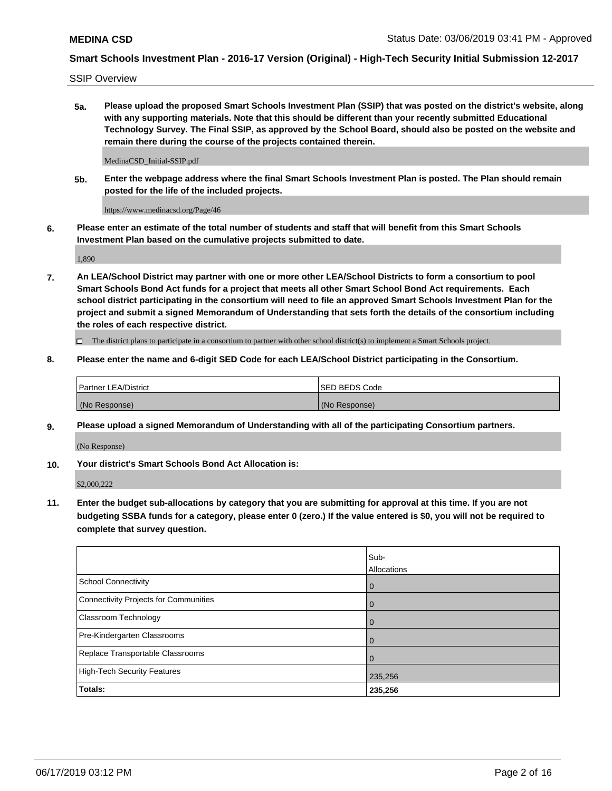SSIP Overview

**5a. Please upload the proposed Smart Schools Investment Plan (SSIP) that was posted on the district's website, along with any supporting materials. Note that this should be different than your recently submitted Educational Technology Survey. The Final SSIP, as approved by the School Board, should also be posted on the website and remain there during the course of the projects contained therein.**

MedinaCSD\_Initial-SSIP.pdf

**5b. Enter the webpage address where the final Smart Schools Investment Plan is posted. The Plan should remain posted for the life of the included projects.**

https://www.medinacsd.org/Page/46

**6. Please enter an estimate of the total number of students and staff that will benefit from this Smart Schools Investment Plan based on the cumulative projects submitted to date.**

1,890

**7. An LEA/School District may partner with one or more other LEA/School Districts to form a consortium to pool Smart Schools Bond Act funds for a project that meets all other Smart School Bond Act requirements. Each school district participating in the consortium will need to file an approved Smart Schools Investment Plan for the project and submit a signed Memorandum of Understanding that sets forth the details of the consortium including the roles of each respective district.**

 $\Box$  The district plans to participate in a consortium to partner with other school district(s) to implement a Smart Schools project.

#### **8. Please enter the name and 6-digit SED Code for each LEA/School District participating in the Consortium.**

| <b>Partner LEA/District</b> | ISED BEDS Code |
|-----------------------------|----------------|
| (No Response)               | (No Response)  |

#### **9. Please upload a signed Memorandum of Understanding with all of the participating Consortium partners.**

(No Response)

**10. Your district's Smart Schools Bond Act Allocation is:**

\$2,000,222

**11. Enter the budget sub-allocations by category that you are submitting for approval at this time. If you are not budgeting SSBA funds for a category, please enter 0 (zero.) If the value entered is \$0, you will not be required to complete that survey question.**

|                                       | Sub-<br><b>Allocations</b> |
|---------------------------------------|----------------------------|
| School Connectivity                   | l 0                        |
| Connectivity Projects for Communities | $\mathbf 0$                |
| <b>Classroom Technology</b>           | $\overline{0}$             |
| Pre-Kindergarten Classrooms           | $\Omega$                   |
| Replace Transportable Classrooms      | $\Omega$                   |
| High-Tech Security Features           | 235,256                    |
| Totals:                               | 235,256                    |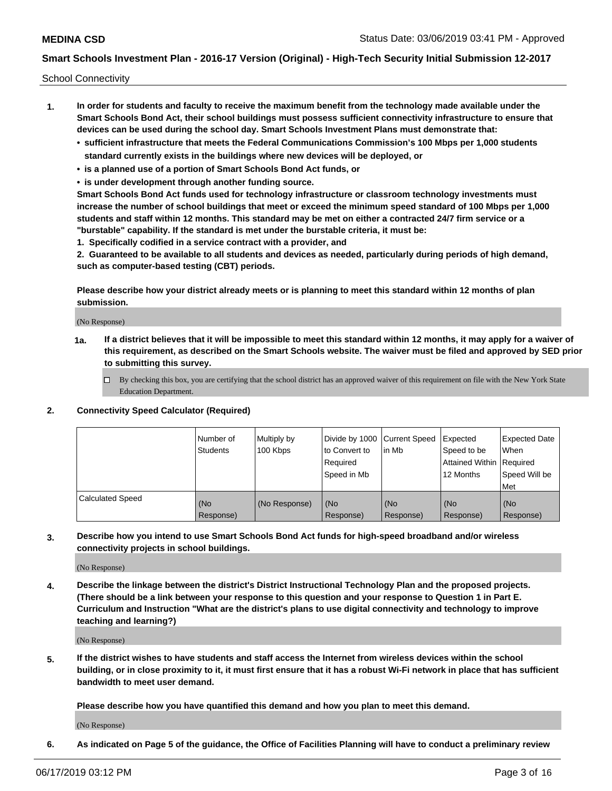School Connectivity

- **1. In order for students and faculty to receive the maximum benefit from the technology made available under the Smart Schools Bond Act, their school buildings must possess sufficient connectivity infrastructure to ensure that devices can be used during the school day. Smart Schools Investment Plans must demonstrate that:**
	- **• sufficient infrastructure that meets the Federal Communications Commission's 100 Mbps per 1,000 students standard currently exists in the buildings where new devices will be deployed, or**
	- **• is a planned use of a portion of Smart Schools Bond Act funds, or**
	- **• is under development through another funding source.**

**Smart Schools Bond Act funds used for technology infrastructure or classroom technology investments must increase the number of school buildings that meet or exceed the minimum speed standard of 100 Mbps per 1,000 students and staff within 12 months. This standard may be met on either a contracted 24/7 firm service or a "burstable" capability. If the standard is met under the burstable criteria, it must be:**

**1. Specifically codified in a service contract with a provider, and**

**2. Guaranteed to be available to all students and devices as needed, particularly during periods of high demand, such as computer-based testing (CBT) periods.**

**Please describe how your district already meets or is planning to meet this standard within 12 months of plan submission.**

(No Response)

**1a. If a district believes that it will be impossible to meet this standard within 12 months, it may apply for a waiver of this requirement, as described on the Smart Schools website. The waiver must be filed and approved by SED prior to submitting this survey.**

 $\Box$  By checking this box, you are certifying that the school district has an approved waiver of this requirement on file with the New York State Education Department.

#### **2. Connectivity Speed Calculator (Required)**

|                         | l Number of<br><b>Students</b> | Multiply by<br>100 Kbps | Divide by 1000 Current Speed<br>to Convert to<br>Required<br>l Speed in Mb | lin Mb           | Expected<br>Speed to be<br>Attained Within   Required<br>12 Months | <b>Expected Date</b><br>When<br>Speed Will be<br>Met |
|-------------------------|--------------------------------|-------------------------|----------------------------------------------------------------------------|------------------|--------------------------------------------------------------------|------------------------------------------------------|
| <b>Calculated Speed</b> | (No<br>Response)               | (No Response)           | (No<br>Response)                                                           | (No<br>Response) | (No<br>Response)                                                   | (No<br>Response)                                     |

**3. Describe how you intend to use Smart Schools Bond Act funds for high-speed broadband and/or wireless connectivity projects in school buildings.**

(No Response)

**4. Describe the linkage between the district's District Instructional Technology Plan and the proposed projects. (There should be a link between your response to this question and your response to Question 1 in Part E. Curriculum and Instruction "What are the district's plans to use digital connectivity and technology to improve teaching and learning?)**

(No Response)

**5. If the district wishes to have students and staff access the Internet from wireless devices within the school building, or in close proximity to it, it must first ensure that it has a robust Wi-Fi network in place that has sufficient bandwidth to meet user demand.**

**Please describe how you have quantified this demand and how you plan to meet this demand.**

(No Response)

**6. As indicated on Page 5 of the guidance, the Office of Facilities Planning will have to conduct a preliminary review**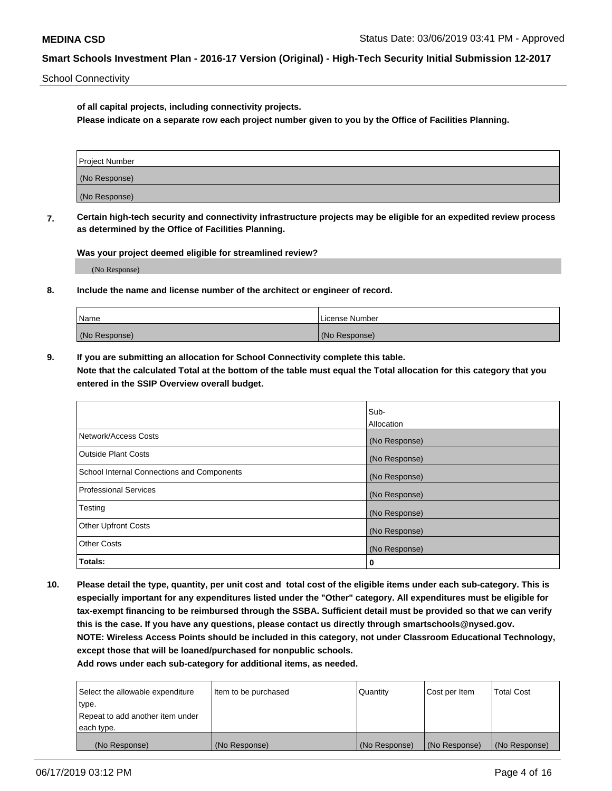School Connectivity

**of all capital projects, including connectivity projects.**

**Please indicate on a separate row each project number given to you by the Office of Facilities Planning.**

| Project Number |  |
|----------------|--|
| (No Response)  |  |
| (No Response)  |  |

**7. Certain high-tech security and connectivity infrastructure projects may be eligible for an expedited review process as determined by the Office of Facilities Planning.**

**Was your project deemed eligible for streamlined review?**

(No Response)

#### **8. Include the name and license number of the architect or engineer of record.**

| Name          | License Number |
|---------------|----------------|
| (No Response) | (No Response)  |

**9. If you are submitting an allocation for School Connectivity complete this table. Note that the calculated Total at the bottom of the table must equal the Total allocation for this category that you entered in the SSIP Overview overall budget.** 

|                                            | Sub-          |
|--------------------------------------------|---------------|
|                                            | Allocation    |
| Network/Access Costs                       | (No Response) |
| <b>Outside Plant Costs</b>                 | (No Response) |
| School Internal Connections and Components | (No Response) |
| <b>Professional Services</b>               | (No Response) |
| Testing                                    | (No Response) |
| <b>Other Upfront Costs</b>                 | (No Response) |
| <b>Other Costs</b>                         | (No Response) |
| Totals:                                    | 0             |

**10. Please detail the type, quantity, per unit cost and total cost of the eligible items under each sub-category. This is especially important for any expenditures listed under the "Other" category. All expenditures must be eligible for tax-exempt financing to be reimbursed through the SSBA. Sufficient detail must be provided so that we can verify this is the case. If you have any questions, please contact us directly through smartschools@nysed.gov. NOTE: Wireless Access Points should be included in this category, not under Classroom Educational Technology, except those that will be loaned/purchased for nonpublic schools.**

| Select the allowable expenditure | Item to be purchased | Quantity      | Cost per Item | <b>Total Cost</b> |
|----------------------------------|----------------------|---------------|---------------|-------------------|
| type.                            |                      |               |               |                   |
| Repeat to add another item under |                      |               |               |                   |
| each type.                       |                      |               |               |                   |
| (No Response)                    | (No Response)        | (No Response) | (No Response) | (No Response)     |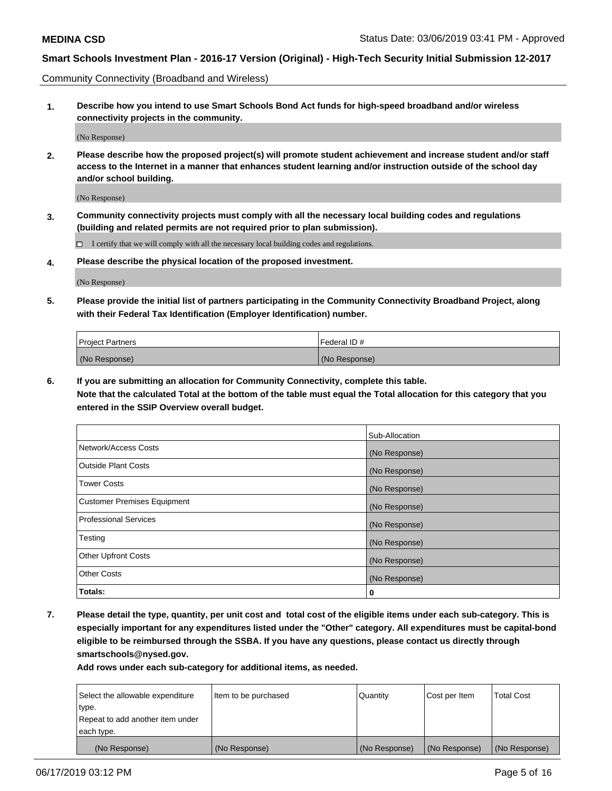Community Connectivity (Broadband and Wireless)

**1. Describe how you intend to use Smart Schools Bond Act funds for high-speed broadband and/or wireless connectivity projects in the community.**

(No Response)

**2. Please describe how the proposed project(s) will promote student achievement and increase student and/or staff access to the Internet in a manner that enhances student learning and/or instruction outside of the school day and/or school building.**

(No Response)

**3. Community connectivity projects must comply with all the necessary local building codes and regulations (building and related permits are not required prior to plan submission).**

 $\Box$  I certify that we will comply with all the necessary local building codes and regulations.

**4. Please describe the physical location of the proposed investment.**

(No Response)

**5. Please provide the initial list of partners participating in the Community Connectivity Broadband Project, along with their Federal Tax Identification (Employer Identification) number.**

| <b>Project Partners</b> | Federal ID#   |
|-------------------------|---------------|
| (No Response)           | (No Response) |

**6. If you are submitting an allocation for Community Connectivity, complete this table.**

**Note that the calculated Total at the bottom of the table must equal the Total allocation for this category that you entered in the SSIP Overview overall budget.**

|                              | Sub-Allocation |
|------------------------------|----------------|
| Network/Access Costs         | (No Response)  |
| Outside Plant Costs          | (No Response)  |
| <b>Tower Costs</b>           | (No Response)  |
| Customer Premises Equipment  | (No Response)  |
| <b>Professional Services</b> | (No Response)  |
| Testing                      | (No Response)  |
| <b>Other Upfront Costs</b>   | (No Response)  |
| <b>Other Costs</b>           | (No Response)  |
| Totals:                      | 0              |

**7. Please detail the type, quantity, per unit cost and total cost of the eligible items under each sub-category. This is especially important for any expenditures listed under the "Other" category. All expenditures must be capital-bond eligible to be reimbursed through the SSBA. If you have any questions, please contact us directly through smartschools@nysed.gov.**

| Select the allowable expenditure | Item to be purchased | Quantity      | Cost per Item | <b>Total Cost</b> |
|----------------------------------|----------------------|---------------|---------------|-------------------|
| type.                            |                      |               |               |                   |
| Repeat to add another item under |                      |               |               |                   |
| each type.                       |                      |               |               |                   |
| (No Response)                    | (No Response)        | (No Response) | (No Response) | (No Response)     |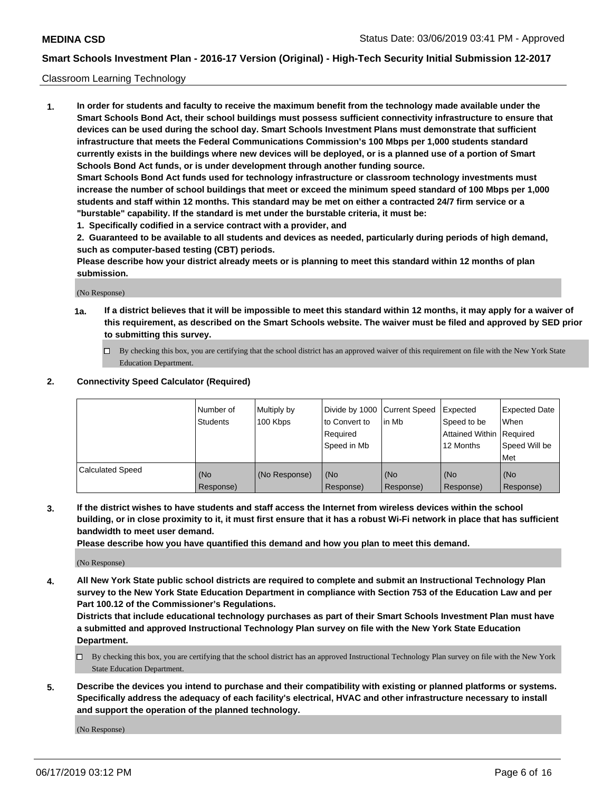#### Classroom Learning Technology

**1. In order for students and faculty to receive the maximum benefit from the technology made available under the Smart Schools Bond Act, their school buildings must possess sufficient connectivity infrastructure to ensure that devices can be used during the school day. Smart Schools Investment Plans must demonstrate that sufficient infrastructure that meets the Federal Communications Commission's 100 Mbps per 1,000 students standard currently exists in the buildings where new devices will be deployed, or is a planned use of a portion of Smart Schools Bond Act funds, or is under development through another funding source. Smart Schools Bond Act funds used for technology infrastructure or classroom technology investments must increase the number of school buildings that meet or exceed the minimum speed standard of 100 Mbps per 1,000 students and staff within 12 months. This standard may be met on either a contracted 24/7 firm service or a "burstable" capability. If the standard is met under the burstable criteria, it must be:**

**1. Specifically codified in a service contract with a provider, and**

**2. Guaranteed to be available to all students and devices as needed, particularly during periods of high demand, such as computer-based testing (CBT) periods.**

**Please describe how your district already meets or is planning to meet this standard within 12 months of plan submission.**

(No Response)

- **1a. If a district believes that it will be impossible to meet this standard within 12 months, it may apply for a waiver of this requirement, as described on the Smart Schools website. The waiver must be filed and approved by SED prior to submitting this survey.**
	- By checking this box, you are certifying that the school district has an approved waiver of this requirement on file with the New York State Education Department.

#### **2. Connectivity Speed Calculator (Required)**

|                         | I Number of<br>Students | Multiply by<br>100 Kbps | to Convert to<br>Required<br>Speed in Mb | Divide by 1000 Current Speed Expected<br>lin Mb | Speed to be<br>Attained Within Required<br>12 Months | Expected Date<br>When<br>Speed Will be<br>Met |
|-------------------------|-------------------------|-------------------------|------------------------------------------|-------------------------------------------------|------------------------------------------------------|-----------------------------------------------|
| <b>Calculated Speed</b> | (No<br>Response)        | (No Response)           | (No<br>Response)                         | (No<br>Response)                                | (No<br>Response)                                     | (No<br>Response)                              |

**3. If the district wishes to have students and staff access the Internet from wireless devices within the school building, or in close proximity to it, it must first ensure that it has a robust Wi-Fi network in place that has sufficient bandwidth to meet user demand.**

**Please describe how you have quantified this demand and how you plan to meet this demand.**

(No Response)

**4. All New York State public school districts are required to complete and submit an Instructional Technology Plan survey to the New York State Education Department in compliance with Section 753 of the Education Law and per Part 100.12 of the Commissioner's Regulations.**

**Districts that include educational technology purchases as part of their Smart Schools Investment Plan must have a submitted and approved Instructional Technology Plan survey on file with the New York State Education Department.**

- $\Box$  By checking this box, you are certifying that the school district has an approved Instructional Technology Plan survey on file with the New York State Education Department.
- **5. Describe the devices you intend to purchase and their compatibility with existing or planned platforms or systems. Specifically address the adequacy of each facility's electrical, HVAC and other infrastructure necessary to install and support the operation of the planned technology.**

(No Response)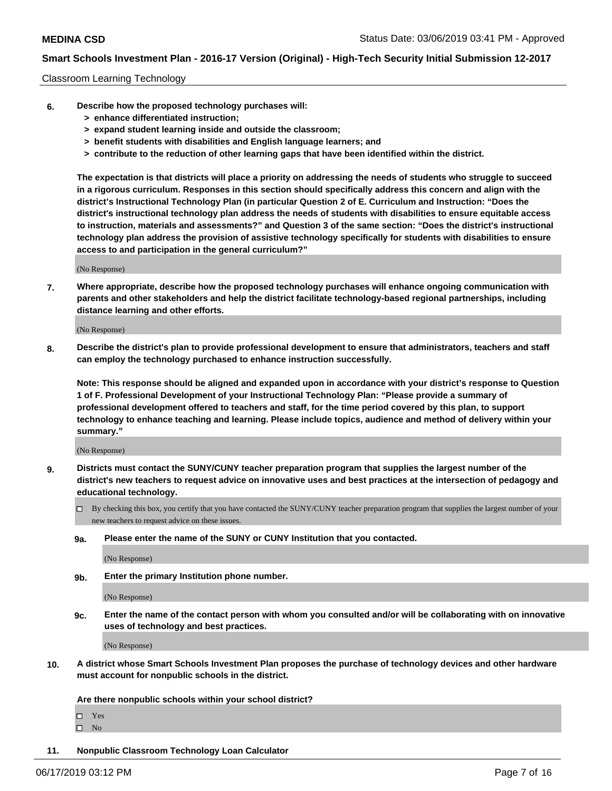#### Classroom Learning Technology

- **6. Describe how the proposed technology purchases will:**
	- **> enhance differentiated instruction;**
	- **> expand student learning inside and outside the classroom;**
	- **> benefit students with disabilities and English language learners; and**
	- **> contribute to the reduction of other learning gaps that have been identified within the district.**

**The expectation is that districts will place a priority on addressing the needs of students who struggle to succeed in a rigorous curriculum. Responses in this section should specifically address this concern and align with the district's Instructional Technology Plan (in particular Question 2 of E. Curriculum and Instruction: "Does the district's instructional technology plan address the needs of students with disabilities to ensure equitable access to instruction, materials and assessments?" and Question 3 of the same section: "Does the district's instructional technology plan address the provision of assistive technology specifically for students with disabilities to ensure access to and participation in the general curriculum?"**

(No Response)

**7. Where appropriate, describe how the proposed technology purchases will enhance ongoing communication with parents and other stakeholders and help the district facilitate technology-based regional partnerships, including distance learning and other efforts.**

(No Response)

**8. Describe the district's plan to provide professional development to ensure that administrators, teachers and staff can employ the technology purchased to enhance instruction successfully.**

**Note: This response should be aligned and expanded upon in accordance with your district's response to Question 1 of F. Professional Development of your Instructional Technology Plan: "Please provide a summary of professional development offered to teachers and staff, for the time period covered by this plan, to support technology to enhance teaching and learning. Please include topics, audience and method of delivery within your summary."**

(No Response)

- **9. Districts must contact the SUNY/CUNY teacher preparation program that supplies the largest number of the district's new teachers to request advice on innovative uses and best practices at the intersection of pedagogy and educational technology.**
	- By checking this box, you certify that you have contacted the SUNY/CUNY teacher preparation program that supplies the largest number of your new teachers to request advice on these issues.
	- **9a. Please enter the name of the SUNY or CUNY Institution that you contacted.**

(No Response)

**9b. Enter the primary Institution phone number.**

(No Response)

**9c. Enter the name of the contact person with whom you consulted and/or will be collaborating with on innovative uses of technology and best practices.**

(No Response)

**10. A district whose Smart Schools Investment Plan proposes the purchase of technology devices and other hardware must account for nonpublic schools in the district.**

**Are there nonpublic schools within your school district?**

Yes

 $\square$  No

**11. Nonpublic Classroom Technology Loan Calculator**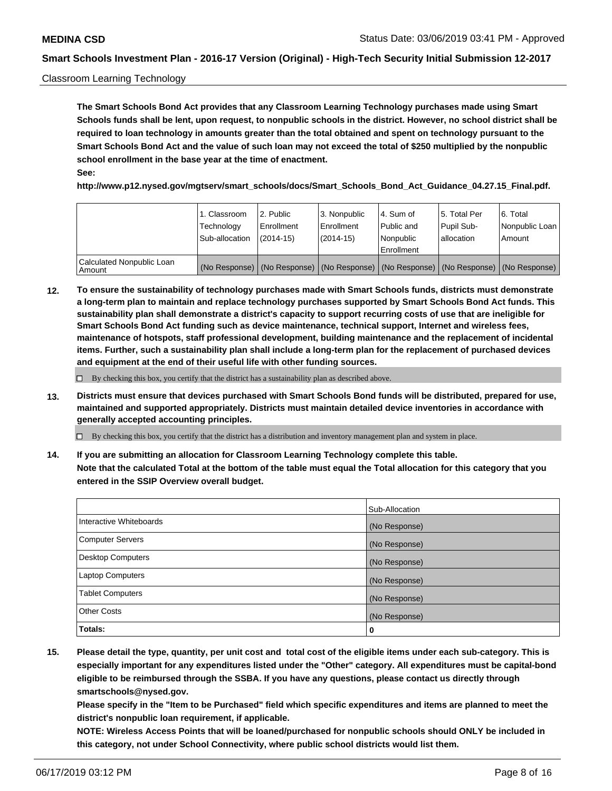#### Classroom Learning Technology

**The Smart Schools Bond Act provides that any Classroom Learning Technology purchases made using Smart Schools funds shall be lent, upon request, to nonpublic schools in the district. However, no school district shall be required to loan technology in amounts greater than the total obtained and spent on technology pursuant to the Smart Schools Bond Act and the value of such loan may not exceed the total of \$250 multiplied by the nonpublic school enrollment in the base year at the time of enactment. See:**

**http://www.p12.nysed.gov/mgtserv/smart\_schools/docs/Smart\_Schools\_Bond\_Act\_Guidance\_04.27.15\_Final.pdf.**

|                                       | 1. Classroom<br>Technology<br>Sub-allocation | 2. Public<br>l Enrollment<br>$(2014-15)$ | l 3. Nonpublic<br>l Enrollment<br>$(2014 - 15)$ | l 4. Sum of<br>Public and<br>l Nonpublic<br>Enrollment                                        | 15. Total Per<br>Pupil Sub-<br>l allocation | l 6. Total<br>Nonpublic Loan<br>Amount |
|---------------------------------------|----------------------------------------------|------------------------------------------|-------------------------------------------------|-----------------------------------------------------------------------------------------------|---------------------------------------------|----------------------------------------|
| Calculated Nonpublic Loan<br>l Amount |                                              |                                          |                                                 | (No Response)   (No Response)   (No Response)   (No Response)   (No Response)   (No Response) |                                             |                                        |

**12. To ensure the sustainability of technology purchases made with Smart Schools funds, districts must demonstrate a long-term plan to maintain and replace technology purchases supported by Smart Schools Bond Act funds. This sustainability plan shall demonstrate a district's capacity to support recurring costs of use that are ineligible for Smart Schools Bond Act funding such as device maintenance, technical support, Internet and wireless fees, maintenance of hotspots, staff professional development, building maintenance and the replacement of incidental items. Further, such a sustainability plan shall include a long-term plan for the replacement of purchased devices and equipment at the end of their useful life with other funding sources.**

 $\Box$  By checking this box, you certify that the district has a sustainability plan as described above.

**13. Districts must ensure that devices purchased with Smart Schools Bond funds will be distributed, prepared for use, maintained and supported appropriately. Districts must maintain detailed device inventories in accordance with generally accepted accounting principles.**

By checking this box, you certify that the district has a distribution and inventory management plan and system in place.

**14. If you are submitting an allocation for Classroom Learning Technology complete this table. Note that the calculated Total at the bottom of the table must equal the Total allocation for this category that you entered in the SSIP Overview overall budget.**

|                          | Sub-Allocation |
|--------------------------|----------------|
| Interactive Whiteboards  | (No Response)  |
| <b>Computer Servers</b>  | (No Response)  |
| <b>Desktop Computers</b> | (No Response)  |
| <b>Laptop Computers</b>  | (No Response)  |
| <b>Tablet Computers</b>  | (No Response)  |
| <b>Other Costs</b>       | (No Response)  |
| Totals:                  | 0              |

**15. Please detail the type, quantity, per unit cost and total cost of the eligible items under each sub-category. This is especially important for any expenditures listed under the "Other" category. All expenditures must be capital-bond eligible to be reimbursed through the SSBA. If you have any questions, please contact us directly through smartschools@nysed.gov.**

**Please specify in the "Item to be Purchased" field which specific expenditures and items are planned to meet the district's nonpublic loan requirement, if applicable.**

**NOTE: Wireless Access Points that will be loaned/purchased for nonpublic schools should ONLY be included in this category, not under School Connectivity, where public school districts would list them.**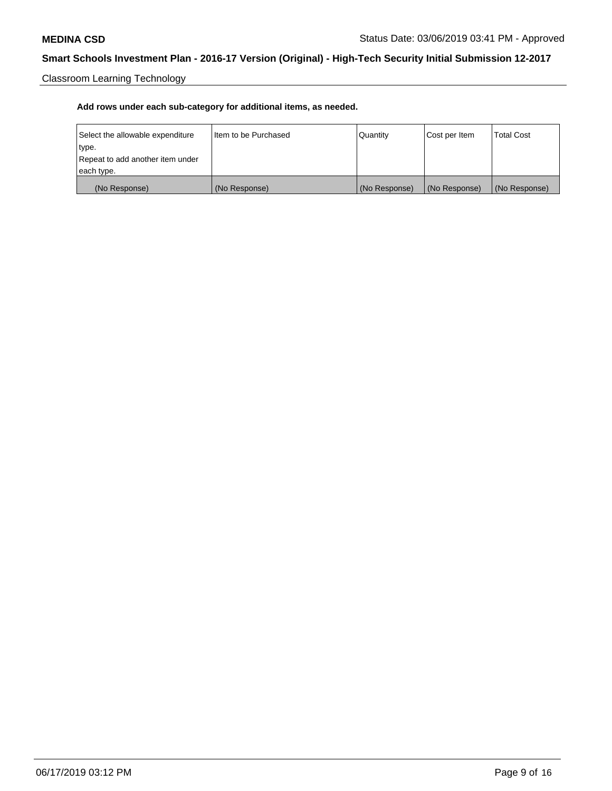Classroom Learning Technology

| Select the allowable expenditure | Iltem to be Purchased | Quantity      | Cost per Item | <b>Total Cost</b> |
|----------------------------------|-----------------------|---------------|---------------|-------------------|
| type.                            |                       |               |               |                   |
| Repeat to add another item under |                       |               |               |                   |
| each type.                       |                       |               |               |                   |
| (No Response)                    | (No Response)         | (No Response) | (No Response) | (No Response)     |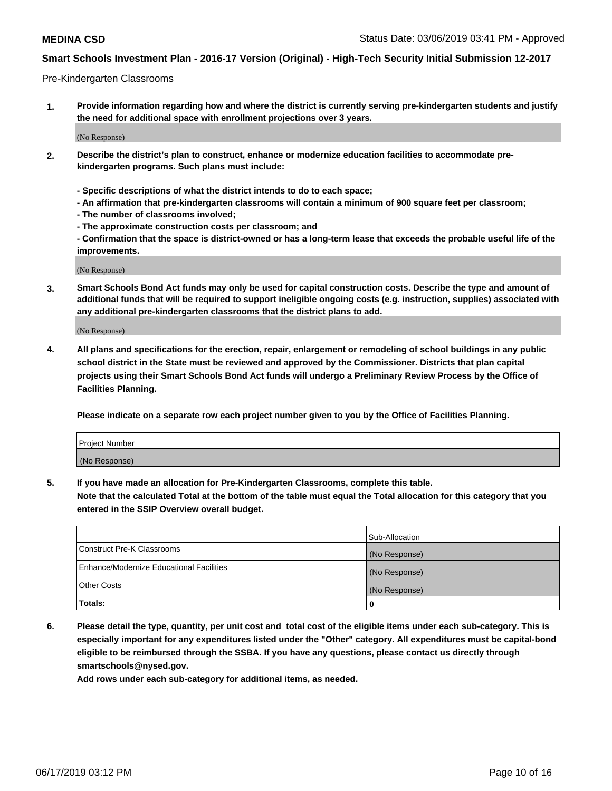#### Pre-Kindergarten Classrooms

**1. Provide information regarding how and where the district is currently serving pre-kindergarten students and justify the need for additional space with enrollment projections over 3 years.**

(No Response)

- **2. Describe the district's plan to construct, enhance or modernize education facilities to accommodate prekindergarten programs. Such plans must include:**
	- **Specific descriptions of what the district intends to do to each space;**
	- **An affirmation that pre-kindergarten classrooms will contain a minimum of 900 square feet per classroom;**
	- **The number of classrooms involved;**
	- **The approximate construction costs per classroom; and**
	- **Confirmation that the space is district-owned or has a long-term lease that exceeds the probable useful life of the improvements.**

(No Response)

**3. Smart Schools Bond Act funds may only be used for capital construction costs. Describe the type and amount of additional funds that will be required to support ineligible ongoing costs (e.g. instruction, supplies) associated with any additional pre-kindergarten classrooms that the district plans to add.**

(No Response)

**4. All plans and specifications for the erection, repair, enlargement or remodeling of school buildings in any public school district in the State must be reviewed and approved by the Commissioner. Districts that plan capital projects using their Smart Schools Bond Act funds will undergo a Preliminary Review Process by the Office of Facilities Planning.**

**Please indicate on a separate row each project number given to you by the Office of Facilities Planning.**

| Project Number |  |
|----------------|--|
| (No Response)  |  |
|                |  |

**5. If you have made an allocation for Pre-Kindergarten Classrooms, complete this table.**

**Note that the calculated Total at the bottom of the table must equal the Total allocation for this category that you entered in the SSIP Overview overall budget.**

|                                          | Sub-Allocation |
|------------------------------------------|----------------|
| Construct Pre-K Classrooms               | (No Response)  |
| Enhance/Modernize Educational Facilities | (No Response)  |
| <b>Other Costs</b>                       | (No Response)  |
| Totals:                                  | 0              |

**6. Please detail the type, quantity, per unit cost and total cost of the eligible items under each sub-category. This is especially important for any expenditures listed under the "Other" category. All expenditures must be capital-bond eligible to be reimbursed through the SSBA. If you have any questions, please contact us directly through smartschools@nysed.gov.**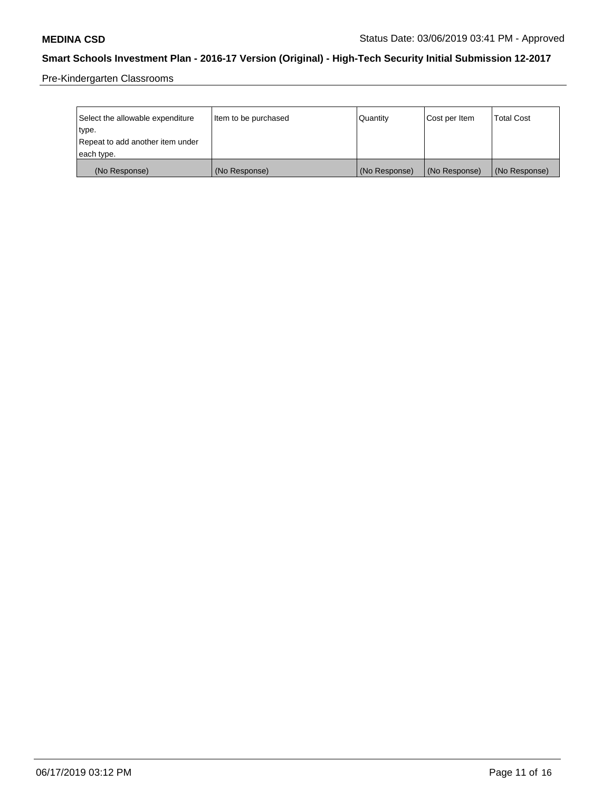Pre-Kindergarten Classrooms

| Select the allowable expenditure | Item to be purchased | Quantity      | Cost per Item | <b>Total Cost</b> |
|----------------------------------|----------------------|---------------|---------------|-------------------|
| type.                            |                      |               |               |                   |
| Repeat to add another item under |                      |               |               |                   |
| each type.                       |                      |               |               |                   |
| (No Response)                    | (No Response)        | (No Response) | (No Response) | (No Response)     |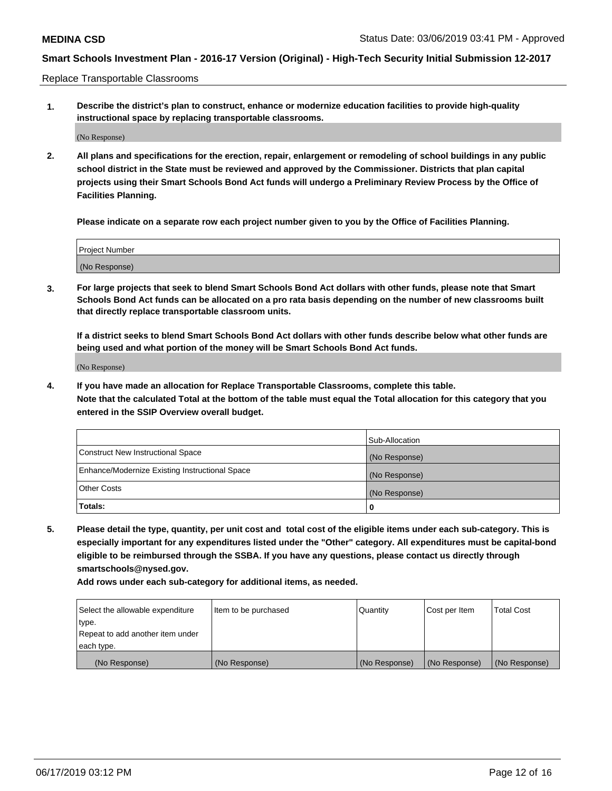Replace Transportable Classrooms

**1. Describe the district's plan to construct, enhance or modernize education facilities to provide high-quality instructional space by replacing transportable classrooms.**

(No Response)

**2. All plans and specifications for the erection, repair, enlargement or remodeling of school buildings in any public school district in the State must be reviewed and approved by the Commissioner. Districts that plan capital projects using their Smart Schools Bond Act funds will undergo a Preliminary Review Process by the Office of Facilities Planning.**

**Please indicate on a separate row each project number given to you by the Office of Facilities Planning.**

| Project Number |  |
|----------------|--|
|                |  |
|                |  |
|                |  |
|                |  |
| (No Response)  |  |
|                |  |
|                |  |
|                |  |

**3. For large projects that seek to blend Smart Schools Bond Act dollars with other funds, please note that Smart Schools Bond Act funds can be allocated on a pro rata basis depending on the number of new classrooms built that directly replace transportable classroom units.**

**If a district seeks to blend Smart Schools Bond Act dollars with other funds describe below what other funds are being used and what portion of the money will be Smart Schools Bond Act funds.**

(No Response)

**4. If you have made an allocation for Replace Transportable Classrooms, complete this table. Note that the calculated Total at the bottom of the table must equal the Total allocation for this category that you entered in the SSIP Overview overall budget.**

|                                                | Sub-Allocation |
|------------------------------------------------|----------------|
| Construct New Instructional Space              | (No Response)  |
| Enhance/Modernize Existing Instructional Space | (No Response)  |
| <b>Other Costs</b>                             | (No Response)  |
| Totals:                                        | 0              |

**5. Please detail the type, quantity, per unit cost and total cost of the eligible items under each sub-category. This is especially important for any expenditures listed under the "Other" category. All expenditures must be capital-bond eligible to be reimbursed through the SSBA. If you have any questions, please contact us directly through smartschools@nysed.gov.**

| Select the allowable expenditure | Item to be purchased | Quantity      | Cost per Item | Total Cost    |
|----------------------------------|----------------------|---------------|---------------|---------------|
| type.                            |                      |               |               |               |
| Repeat to add another item under |                      |               |               |               |
| each type.                       |                      |               |               |               |
| (No Response)                    | (No Response)        | (No Response) | (No Response) | (No Response) |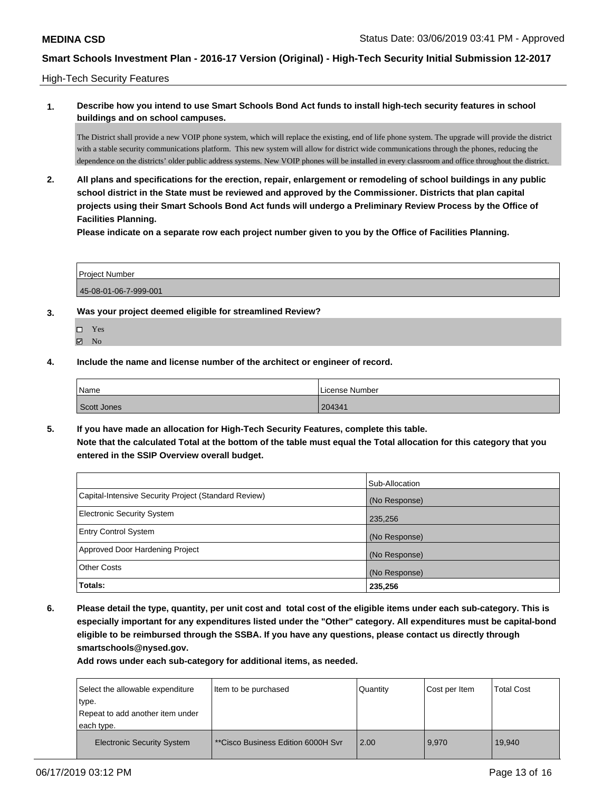High-Tech Security Features

### **1. Describe how you intend to use Smart Schools Bond Act funds to install high-tech security features in school buildings and on school campuses.**

The District shall provide a new VOIP phone system, which will replace the existing, end of life phone system. The upgrade will provide the district with a stable security communications platform. This new system will allow for district wide communications through the phones, reducing the dependence on the districts' older public address systems. New VOIP phones will be installed in every classroom and office throughout the district.

**2. All plans and specifications for the erection, repair, enlargement or remodeling of school buildings in any public school district in the State must be reviewed and approved by the Commissioner. Districts that plan capital projects using their Smart Schools Bond Act funds will undergo a Preliminary Review Process by the Office of Facilities Planning.** 

**Please indicate on a separate row each project number given to you by the Office of Facilities Planning.**

Project Number 45-08-01-06-7-999-001

- **3. Was your project deemed eligible for streamlined Review?**
	- Yes
	- $\boxtimes$  No
- **4. Include the name and license number of the architect or engineer of record.**

| Name        | License Number |
|-------------|----------------|
| Scott Jones | 204341         |

**5. If you have made an allocation for High-Tech Security Features, complete this table. Note that the calculated Total at the bottom of the table must equal the Total allocation for this category that you entered in the SSIP Overview overall budget.**

|                                                      | Sub-Allocation |
|------------------------------------------------------|----------------|
| Capital-Intensive Security Project (Standard Review) | (No Response)  |
| <b>Electronic Security System</b>                    | 235,256        |
| <b>Entry Control System</b>                          | (No Response)  |
| Approved Door Hardening Project                      | (No Response)  |
| <b>Other Costs</b>                                   | (No Response)  |
| Totals:                                              | 235,256        |

**6. Please detail the type, quantity, per unit cost and total cost of the eligible items under each sub-category. This is especially important for any expenditures listed under the "Other" category. All expenditures must be capital-bond eligible to be reimbursed through the SSBA. If you have any questions, please contact us directly through smartschools@nysed.gov.**

| Select the allowable expenditure  | Item to be purchased               | Quantity | Cost per Item | <b>Total Cost</b> |
|-----------------------------------|------------------------------------|----------|---------------|-------------------|
| 'type.                            |                                    |          |               |                   |
| Repeat to add another item under  |                                    |          |               |                   |
| each type.                        |                                    |          |               |                   |
| <b>Electronic Security System</b> | **Cisco Business Edition 6000H Svr | 2.00     | 9.970         | 19,940            |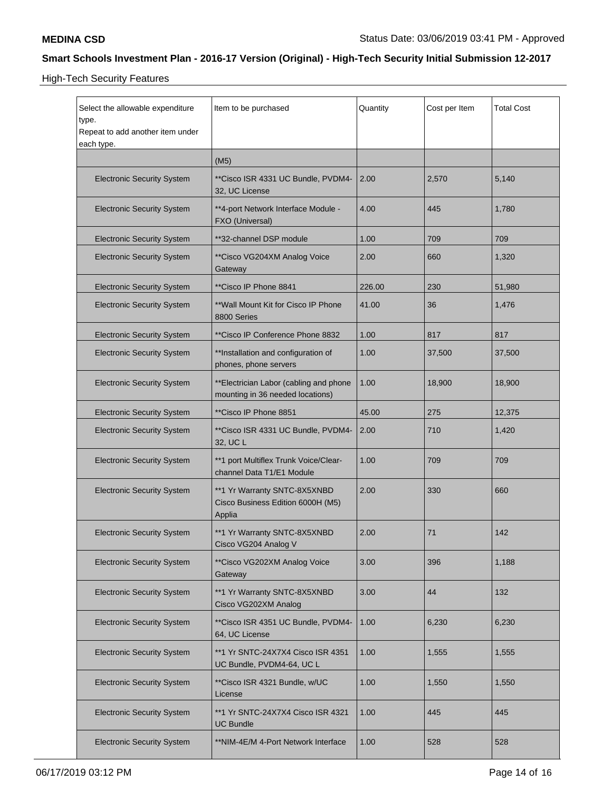High-Tech Security Features

| Select the allowable expenditure<br>type.<br>Repeat to add another item under<br>each type. | Item to be purchased                                                        | Quantity | Cost per Item | <b>Total Cost</b> |
|---------------------------------------------------------------------------------------------|-----------------------------------------------------------------------------|----------|---------------|-------------------|
|                                                                                             | (M5)                                                                        |          |               |                   |
| <b>Electronic Security System</b>                                                           | **Cisco ISR 4331 UC Bundle, PVDM4-<br>32, UC License                        | 2.00     | 2,570         | 5,140             |
| <b>Electronic Security System</b>                                                           | **4-port Network Interface Module -<br>FXO (Universal)                      | 4.00     | 445           | 1,780             |
| <b>Electronic Security System</b>                                                           | **32-channel DSP module                                                     | 1.00     | 709           | 709               |
| <b>Electronic Security System</b>                                                           | **Cisco VG204XM Analog Voice<br>Gateway                                     | 2.00     | 660           | 1,320             |
| <b>Electronic Security System</b>                                                           | **Cisco IP Phone 8841                                                       | 226.00   | 230           | 51,980            |
| <b>Electronic Security System</b>                                                           | **Wall Mount Kit for Cisco IP Phone<br>8800 Series                          | 41.00    | 36            | 1,476             |
| <b>Electronic Security System</b>                                                           | **Cisco IP Conference Phone 8832                                            | 1.00     | 817           | 817               |
| <b>Electronic Security System</b>                                                           | **Installation and configuration of<br>phones, phone servers                | 1.00     | 37,500        | 37,500            |
| <b>Electronic Security System</b>                                                           | **Electrician Labor (cabling and phone<br>mounting in 36 needed locations)  | 1.00     | 18,900        | 18,900            |
| <b>Electronic Security System</b>                                                           | **Cisco IP Phone 8851                                                       | 45.00    | 275           | 12,375            |
| <b>Electronic Security System</b>                                                           | **Cisco ISR 4331 UC Bundle, PVDM4-<br>32, UC L                              | 2.00     | 710           | 1,420             |
| <b>Electronic Security System</b>                                                           | **1 port Multiflex Trunk Voice/Clear-<br>channel Data T1/E1 Module          | 1.00     | 709           | 709               |
| <b>Electronic Security System</b>                                                           | **1 Yr Warranty SNTC-8X5XNBD<br>Cisco Business Edition 6000H (M5)<br>Applia | 2.00     | 330           | 660               |
| <b>Electronic Security System</b>                                                           | **1 Yr Warranty SNTC-8X5XNBD<br>Cisco VG204 Analog V                        | 2.00     | 71            | 142               |
| <b>Electronic Security System</b>                                                           | **Cisco VG202XM Analog Voice<br>Gateway                                     | 3.00     | 396           | 1,188             |
| <b>Electronic Security System</b>                                                           | **1 Yr Warranty SNTC-8X5XNBD<br>Cisco VG202XM Analog                        | 3.00     | 44            | 132               |
| <b>Electronic Security System</b>                                                           | **Cisco ISR 4351 UC Bundle, PVDM4-<br>64, UC License                        | 1.00     | 6,230         | 6,230             |
| <b>Electronic Security System</b>                                                           | **1 Yr SNTC-24X7X4 Cisco ISR 4351<br>UC Bundle, PVDM4-64, UC L              | 1.00     | 1,555         | 1,555             |
| <b>Electronic Security System</b>                                                           | **Cisco ISR 4321 Bundle, w/UC<br>License                                    | 1.00     | 1,550         | 1,550             |
| <b>Electronic Security System</b>                                                           | **1 Yr SNTC-24X7X4 Cisco ISR 4321<br><b>UC Bundle</b>                       | 1.00     | 445           | 445               |
| <b>Electronic Security System</b>                                                           | **NIM-4E/M 4-Port Network Interface                                         | 1.00     | 528           | 528               |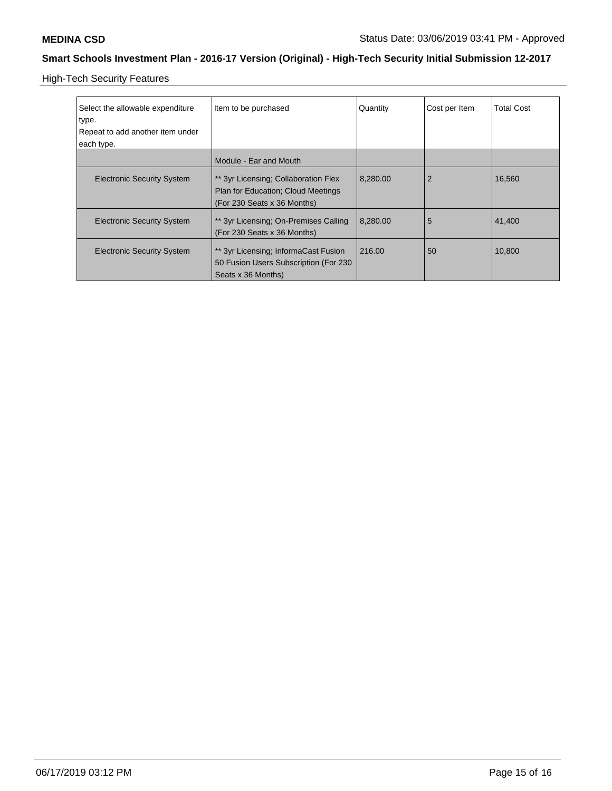High-Tech Security Features

| Select the allowable expenditure<br>type.<br>Repeat to add another item under<br>each type. | Item to be purchased                                                                                             | Quantity | Cost per Item  | <b>Total Cost</b> |
|---------------------------------------------------------------------------------------------|------------------------------------------------------------------------------------------------------------------|----------|----------------|-------------------|
|                                                                                             | Module - Ear and Mouth                                                                                           |          |                |                   |
| <b>Electronic Security System</b>                                                           | ** 3yr Licensing; Collaboration Flex<br><b>Plan for Education: Cloud Meetings</b><br>(For 230 Seats x 36 Months) | 8,280.00 | $\overline{2}$ | 16.560            |
| <b>Electronic Security System</b>                                                           | ** 3yr Licensing; On-Premises Calling<br>(For 230 Seats x 36 Months)                                             | 8,280.00 | 5              | 41,400            |
| <b>Electronic Security System</b>                                                           | ** 3yr Licensing; InformaCast Fusion<br>50 Fusion Users Subscription (For 230<br>Seats x 36 Months)              | 216.00   | 50             | 10,800            |